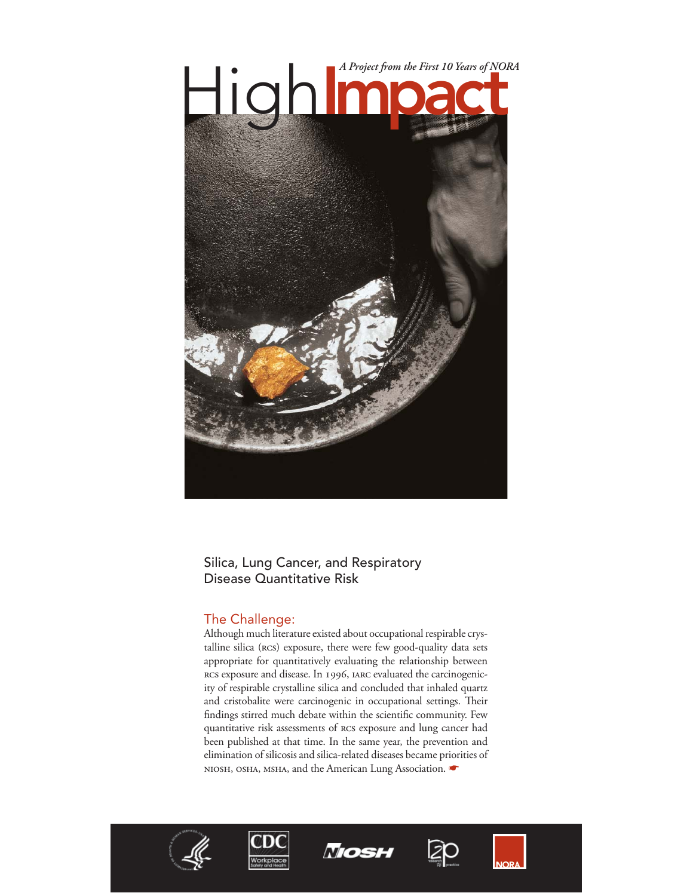

## Silica, Lung Cancer, and Respiratory Disease Quantitative Risk

# The Challenge:

Although much literature existed about occupational respirable crystalline silica (rcs) exposure, there were few good-quality data sets appropriate for quantitatively evaluating the relationship between RCS exposure and disease. In 1996, IARC evaluated the carcinogenicity of respirable crystalline silica and concluded that inhaled quartz and cristobalite were carcinogenic in occupational settings. Their findings stirred much debate within the scientific community. Few quantitative risk assessments of rcs exposure and lung cancer had been published at that time. In the same year, the prevention and elimination of silicosis and silica-related diseases became priorities of NIOSH, OSHA, MSHA, and the American Lung Association.